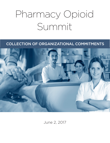# Pharmacy Opioid Summit

# COLLECTION OF ORGANIZATIONAL COMMITMENTS



June 2, 2017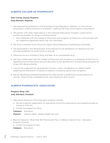# ALBERTA COLLEGE OF PHARMACISTS

#### Dale Cooney, Deputy Registrar Greg Eberhart, Registrar

- 1. We proposed amendments to the Scheduled Drugs Regulation (Alberta), to move all nonprescription codeine products to Schedule 1, meaning that they would require a prescription.
- 2. We partner with other organizations in the Triplicate Prescription Program, a prescription monitoring program for drugs of potential abuse
	- We collaborate with the College of Physicians and Surgeons of Alberta to communicate with our respective registrants about high risk individuals
- 3. We sit as a member of the Provincial Urgent Opioid Response Coordinating Committee
- 4. We participated in the development of procedures for the distribution of Naloxone kits and provided guidelines for pharmacists to provide
- 5. Naloxone kits as a schedule 2 drug; and later, as an unscheduled drug
- 6. We have collaborated with the College of Physicians and Surgeons as a presenter at their Forum regarding Opioid Prescribing and provided input to the development of prescribing standards for drugs with abuse potential
- 7. Council has supported the development of policy under consideration by Alberta Health regarding the distribution of opioids to patients covered by government programs
- 8. We are developing standards/guidelines for pharmacists re dispensing of prescriptions for opioids. These will be considered at the June meeting of ACP council.

# ALBERTA PHARMACISTS' ASSOCIATION

#### Margaret Wing, CEO Jody Shkrobot, President

- 1. Take Home Naloxone (THN) Education program (Online)
	- a. We are a partner organization for educating community pharmacists and registering sites for access to THN kits.
	- b. CCCEP Accredited 0.5 CEUs
	- Category Education
	- Partners Alberta Health, Alberta Health Services
- 2. Beyond Naloxone: What Role Will Pharmacists Play in Alberta's Opioid Crisis Education Program (Online)
	- a. CCCEP Accredited 1.0 CEU
	- Category Education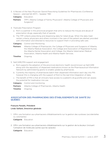3. A Review of the New Physician Opioid Prescribing Guidelines for Pharmacists (Conference Session – planned fall 2017) – Speaker TBD

Category Education

- **Partners** TPP?, Alberta College of Family Physicians?, Alberta College of Physicians and Surgeons?
- 4. Triplicate Prescription Program
	- a. RxA is a partner in this provincial program that aims to reduce the misuse and abuse of prescription drugs, especially that of opioids.
	- b. The TPP collects prescribing and dispensing data for listed drugs. When the data meet certain criteria, physicians and others involved in the care of the patient are alerted, provided with information and directed to resources to support them in providing safe care.

**Category** Control and Monitoring

- **Partners** Alberta College of Pharmacists, the College of Physicians and Surgeons of Alberta, the Alberta Medical Association, the College and Association of Registered Nurses, the Alberta Dental Association and College, the Alberta Veterinarian Medical Association, Alberta Health and Alberta Health Services.
- Timeline Ongoing
- 5. NetCARE/PIN support and engagement
	- a. RxA supports the adoption of the provincial electronic health record known as NetCARE along with the repository of dispensed medications known as the Pharmaceutical Information Network by administering grants to enable uptake by pharmacies.
	- b. Currently the majority of pharmacies batch their dispensed information each day into PIN however this is changing with the support of RxA to the real time integration of data.
	- c. The benefit of PIN is that all clinicans have access to a patient's drug profile and can assess the potential for medication mis-use.

**Category** Control and monitoring

Partners Alberta College of Pharmacists, Alberta Health

Timeline Ongoing

### ASSOCIATION DES PHARMACIENS DES ÉTABLISSEMENTS DE SANTÉ DU QUÉBEC

# François Paradis, Président

- Linda Vaillant, Directrice générale
- 1. Offrir une formation aux pharmaciens d'établissements sur la gestion des surdoses (accidentelles ou volontaires)

Catégorie Éducation

2. Offrir une formation aux pharmaciens d'établissements sur la gestion de la douleur (incluant l'utilisation de molécules autres que les opiacés)

Catégorie Éducation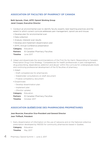# ASSOCIATION OF FACULTIES OF PHARMACY OF CANADA

#### Beth Sproule, Chair, AFPC Opioid Working Group Janet Cooper, Executive Director

- 1. Conduct an environmental scan to identify faculty experts, best teaching practices and the extent to which current curricula addresses pain management, opioid use and misuse.
	- Develop plan for environmental scan
	- Data collection
	- Analyze, interpret scan results
	- Develop and implement dissemination plan
	- AFPC Annual Conference presentation

Category Education

Partners 10 Canadian Pharmacy Faculties

Timeline June 2017

- 2. Adapt and disseminate the recommendations of the First Do No Harm: Responding to Canada's Prescription Drug Crisis Strategy "Competencies for health professionals in pain management, drug prescribing, dependence, addiction and abuse" within the curricula for undergraduate levels and continuing professional development of the 10 faculties of pharmacy
	- Adapt:
	- Draft competencies for pharmacists
	- Stakeholder consultations on draft document
	- Finalize competency document
	- Disseminate:
	- Develop dissemination plan
	- Implement plan
	- (Monitor uptake)

Category Education

- Partners 10 Canadian Pharmacy Faculties
- Timeline October 2017

# ASSOCIATION QUÉBÉCOISE DES PHARMACIENS PROPRIÉTAIRES

#### Jean Bourcier, Executive Vice-President and General Director Jean Thiffault, Président

1. Early dissemination of information on the use of naloxone and on the National collective prescription developed by INESSS for community pharmacists based in Quebec.

Category Education Timeline May 2017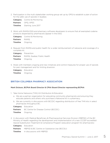2. Participation in the multi stakeholder working group set up by OPQ to establish a plan of action for the safer use of opioids in Quebec.

**Category** Control & Monitoring Partners OPQ, APES

**Timeline** Starting June 2017

3. Work with RAMQ-DSQ and pharmacy software developers to ensure that all exempted codeine products dispensed by pharmacists appear in the DSQ.

**Category** Control & Monitoring Partners RAMQ Timeline Ongoing

4. Request from RAMQ and public health for a wider reimbursement of naloxone and coverage of a complete kit.

Category Prevention **Partners** RAMQ, Quebec Public Health

- Timeline Ongoing
- 5. Share with members ongoing and new initiatives and control measures for proper use of opioids for pain management and for limiting diversion.

**Category** Education Timeline Ongoing

#### BRITISH COLUMBIA PHARMACY ASSOCIATION

#### Mark Dickson, BCPhA Board Director & CPhA Board Director representing BCPhA

- 1. Take Home Naloxone (THN) Kit Distribution & Education
	- a. We are a partner organization for educating community pharmacists and ensuring they educate patients and others who purchase a Naloxone kit in a pharmacy.
	- b. We are currently in discussions with BCCDC regarding distribution of free THN kits in select pharmacies throughout BC.

**Category** Education

Partners BC Centre for Disease Control (BCCDC)

- **Timeline** Ongoing
- 2. In discussion with Medical Beneficiary & Pharmaceutical Services Division (MBPSD) of the BC Ministry of Health regarding the development and implementation of a new CCCEP accredited Opioid Substitution Treatment & Compliance Program (education program for pharmacists)

Category Education **Partners** MBPSD & BC Centre on Substance Use (BCCSU) **Timeline** In discussions with MBPSD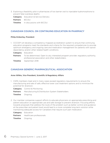3. Exploring a feasibility pilot in pharmacies of low barrier oral to injectable hydromorphone to prevent fatal overdose deaths

**Category** Education & Service Delivery Partners BCCSU

**Timeline** In discussions with BCCSU

#### CANADIAN COUNCIL ON CONTINUING EDUCATION IN PHARMACY

#### Philip Emberley, President

- 1. CCCCEP will develop a competency-mapped accreditation system to ensure that continuing education programs meet the standards and criteria for the required competencies to provide optimum emergency and ongoing care and medication management for patients with opioid dependency and/or other related health conditions.
	- Category Education
	- **Partners** To be determined. Open to any interested program provider, regulatory authority, professional association and other stakeholders.
	- Timeline September 2018

#### CANADIAN GENERIC PHARMACEUTICAL ASSOCIATION

#### Anne Wilkie, Vice President, Scientific & Regulatory Affairs

- 1. CGPA members meet and in many cases exceed regulatory requirements to ensure the manufacturing and sale of safe, effective lower cost treatment options and to minimize the potential for diversion.
	- Category Control & Monitoring
	- Partners Manufacturing & Distribution System Stakeholders
	- **Timeline** Ongoing
- 2. Our member companies support efforts to educate physicians on appropriate prescribing and patient education on appropriate use and safe storage to prevent diversion. Focusing efforts towards proposals that address the route of the problem such as better control and guidance at the prescriber and patient level would lead to a more complete long-term solution while maintaining adequate access for Canadians that require such pain medication.
	- Category Education
	- Partners Healthcare professionals
	- **Timeline** Ongoing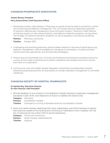# CANADIAN PHARMACISTS ASSOCIATION

#### Alistair Bursey, President Perry Eisenschmid, Chief Executive Officer

1. Developing a sector-wide strategy in Pharmacy on opioid misuse focused on prevention, control and monitoring and addiction management. This will include maximum dispensed quantities of narcotics, effective pain management, Drug Information System / Electronic Health Record monitoring systems to help reduce diversion, and addiction treatment programs, among others. The strategy will advance education programs, as well as regulatory and practice guidelines.

Partners Pharmacy community Timeline October 2017

- 2. Undertaking and promoting pharmacy practice based research in the area of opioid abuse (e.g., addiction management, optimal strategies for managing co-morbidities, innovative and best practice pharmacy approaches, and de-prescribing strategies).
- 3. Producing an environmental scan of Continuing Professional Development programs across the country as they relate to pharmacists to better understand what already exists and to ensure that there is no duplication.
- 4. Continuing to work with Health Canada, Regulatory Authorities and stakeholders towards extending prescribing authority for pharmacists to include medication management of controlled substances.

# CANADIAN SOCIETY OF HOSPITAL PHARMACISTS

#### Dr Myrella Roy, Executive Director Dr Glen Pearson, Past-President

1. Provide feedback on any revisions of Accreditation Canada's Qmentum medication management standards in light of the Joint Statement of Action to Address the Opioid Crisis

Category Prevention

Partners Accreditation Canada

- **Timeline** Contingent on timing of standard review by Accreditation Canada
- 2. Work with Health Canada, HealthCare*CAN*, other stakeholders, and CSHP members to identify best practices related to the handling and monitoring of medications within hospitals with the aim of reducing the loss and/or theft of opioid medications.

**Category** Control and monitoring

Partners Health Canada, HealthCareCAN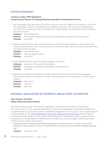# COSTCO PHARMACY

#### Lawrence Varga, GMM Operations Joseph Hanna, Director Rx Buying/Pharmacy Benefits & Professional Services

1. Each pharmacy has been sent a minimum inventory level of 2 Take Home Naloxone (THN) kits with injectable naloxone.All pharmacy managers are familiar with provincial standards for providing THN, and ensure they have taken any steps needed to competently and confidently provide customer.

Category Harm Reduction Partners Provincial Pharmacy Associations, Regulators, Manufacturers, Distributors Timeline April 2017

2. Narcan nasal spray has been acquired and two units have been shipped to each location for overdose patients that occur on the premises. Conference calls have occurred with all pharmacy managers across Canada.

Category Harm Reduction Partners Internal, Adapt Pharma Timeline April 2017

3. Implemented fentanyl patch-for-patch program in Ontario.

|                          | <b>Category</b> Education/Control and Monitoring                 |
|--------------------------|------------------------------------------------------------------|
|                          | <b>Partners</b> Pharmacy Associations, Regulators, Manufacturers |
| <b>Timeline</b> Oct 2016 |                                                                  |

4. Restricted all Imodium and generic Imodium products to a maximum of three packages. Placed these products behind the counter, requiring pharmacist consultation for each sale of product.

Category Prevention Partners Internal Timeline May 2017

# NATIONAL ASSOCIATION OF PHARMACY REGULATORY AUTHORITIES

#### Anjli Acharya, President Adele Fifield, Executive Director

The National Association of Pharmacy Regulatory Authorities (Nov. 2016) Commitments: *The commitments of the National Association of Pharmacy Regulatory Authorities (NAPRA) are included simply for information-sharing. NAPRA's engagement on the opioid crisis is solely through its participation on the [Joint Statement of Action to Address the Opioid Crisis](https://www.canada.ca/en/health-canada/services/substance-abuse/opioid-conference/joint-statement-action-address-opioid-crisis.html) that was signed in November 2016. Because of the unique role of pharmacy regulators in public protection and as regulators of the profession, NAPRA and its members do not participate in pharmacy sector initiatives led by other organizations.* 

- 1. Developing and implementing a pharmacist-patient communication tool that will provide guidance to pharmacists on how to have difficult conversations with patients regarding opioid use.
	- Timeline November 2017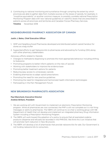2. Contributing to national monitoring and surveillance through compiling the extent by which provinces are able to gather data from multiple sources on the doses of opioids, for example, in "morphine equivalents" or another common measure, to possibly correlate national Prescription Monitoring Program data with new national guidelines on watchful doses that are prescribed to patients across all provinces and territories and Canadian Forces Pharmacy Services.

Timeline November 2018

### NEIGHBOURHOOD PHARMACY ASSOCIATION OF CANADA

#### Justin J. Bates, Chief Executive Officer

- 1. ISMP and Neighbourhood Pharmacies developed and distributed patient opioid handout for stores as a bag stuffer
- 2. Supported efforts to get Naloxone kits to pharmacies and advocating for funding (ON) along with other pharmacy stakeholders

Advocacy efforts related to Opioids:

- Changes to methadone dispensing to promote the most appropriate behaviour including shifting to Suboxone
- Promoting programs to better inform patients on the risks of opioids
- Working with stakeholders to improve the evidence base
- Promoting better treatment options for patients
- Reducing easy access to unnecessary opioids
- Enabling pharmacists to adapt opioid prescriptions
- Promoting the need for new practice guidelines
- Promoting the need for integrated and harmonized health information technologies
- Participating in the Pain Management Forum

#### NEW BRUNSWICK PHARMACISTS ASSOCIATION

#### Paul Blanchard, Executive Director Andrew Brillant, President

- 1. We are working still with Government to implement an electronic Prescription Monitoring program. While all pharmacies are now connected, the PMP is still not complete as it is not firing messages or alerts to pharmacies. The NBPA will continue to co-chair a working group with NB Department of Health that will develop and implement an integrated pharmacy Drug Information System including a Prescription Monitoring Program.
- 2. The NBPA will work toward the adoption of a policy to ensure that all exempted codeine products (dispense and refusals) be recorded in the PMP/DIS. We think this is an initiative that will promote harm reduction in New Brunswick.
- 3. The NBPA will develop a list of pharmacies that provide naloxone kits for sale. Our Government is not funding naloxone kits to consumers.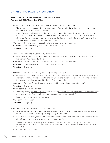# ONTARIO PHARMACISTS ASSOCIATION

#### Allan Malek, Senior Vice President, Professional Affairs Andrew Gall, Chief Executive Officer

- 1. Opioid Addiction and Substitution Therapy Online Modules (24 in total):
	- These modules are acceptable for meeting the OCP required training update. Updates are required at minimum every five years.
	- Note: These modules do not satisfy initial training requirements. They are not intended to replace the CAMH Opioid Dependence Treatment course, which Designated Managers and pharmacists are required to complete in order to dispense methadone as outlined in OCP's "Methadone Maintenance Treatment and Dispensing Policy".

**Category** Complementary education for members and non-members

Partners Ontario Ministry of Health & Long Term Care

Timeline Ongoing

- 2. Take-Home Naloxone in Community Pharmacies:
	- Pre-requisite to dispense free take-home naloxone kits via the MOHLTC's Ontario Naloxone Program in Pharmacies (ONPP)
	- Category Complementary education for members and non-members

**Partners** Ontario Ministry of Health & Long Term Care

Timeline Ongoing

- 3. Naloxone in Pharmacies Obligation, Opportunity and Optics
	- Provides a quick overview on naloxone's pharmacology, the societal context behind naloxone programs, pharmacy's role in naloxone programs, the importance and impact of naloxone to the business of pharmacy and to the profession as a whole

**Category** Practice Support (currently unaccredited, complementary education)

Timeline Ongoing

- 4. Downloadable naloxone posters
	- One for posting inside pharmacies and another designed for non-pharmacy establishments to create awareness (night clubs, restaurants, community centres, etc.)
	- Free for members and non-members

Category Prevention

- 5. Methadone, Buprenorphine and the Community:
	- Full-day workshop which includes an overview of addiction and treatment strategies and a review of the latest OCP policy on dispensing methadone.
	- Also focuses on destigmatizing methadone maintenance treatment and addresses the effect of methadone clinics and programs on the community.
	- A session on pain management explores situations in which patients on methadone or buprenorphine/naloxone maintenance treatment may require analgesics and what options they may have.
	- Accredited for 8.0 CEUs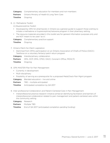**Category** Complementary education for members and non-members **Partners** Ontario Ministry of Health & Long Term Care Timeline Ongoing

6. (i) Methadone Toolkit:

(ii) Buprenorphine Toolkit:

- Developed by OPA for pharmacists in Ontario as a general guide to support those wishing to initiate a methadone or buprenorphine/naloxone program in their pharmacy setting.
- The resource materials provided in this toolkit are for general information purposes only and are NOT meant to be used "as is".

Category Complementary practice support

Timeline Ongoing

- 7. Ontario Patch-for-Patch Legislation
	- Stemmed from OPA's participation on an Ontario Association of Chiefs of Police (OACC) Taskforce on a voluntary fentanyl patch return program

**Category** Interdisciplinary collaboration

Partners OPA, OCP, OMA, CPSO, OACC, Coroner's Office, MOHLTC

- **Timeline** Ongoing
- 8. OPA MASTER Plan for Pain Management
	- Currently in development
	- Multi-disciplinary
	- Possibility of serving as a prerequisite for a proposed MedsCheck Pain Mgmt program

**Category** Blended education - live and online

Partners TBD - multiple anticipated

**Timeline** Anticipated completion by Q4 2017

- 9. Inter-professional Collaboration and Patient-Centered Care in Pain Management:
	- Interprofessional practice research initiative aimed at identifying facilitators and barriers of interprofessional collaboration related to pain management and patient-centered care within the community setting
	- Category Research
	- Partners Multiple TBD
	- **Timeline** End of Q4 2017 (anticipated completion pending funding)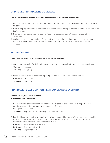# ORDRE DES PHARMACIENS DU QUÉBEC

#### Patrick Boudreault, directeur des affaires externes et du soutien professionel

- 1. Mobiliser les partenaires afin d'établir un plan d'action pour un usage sécuritaire des opioïdes au Québec.
- 2. Établir un programme de surveillance des prescriptions des opioïdes afin d'identifier les pratiques jugées à risqué.
- 3. Promouvoir un usage optimal des opioïdes et encourager les pratiques de prescription sécuritaires.
- 4. Collaborer avec les partenaires afin de mettre à jour les lignes directrices et les programmes de formation en tenant compte des meilleures pratiques dans le domaine du traitement de la douleur.

### PFIZER CANADA

#### Geneviève Pelletier, National Manager, Pharmacy Relations

- 1. Continued research efforts into tanezumab and other molecules for pain-related conditions
	- Category Research
	- **Timeline** Ongoing
- 2. Make available various Pfizer non-opioid pain medicines on the Canadian market
	- Category Prevention
	- **Timeline** Ongoing

#### PHARMACISTS' ASSOCIATION NEWFOUNDLAND & LABRADOR

#### Glenda Power, Executive Director Steve Gillingham, President

- 1. PANL will offer annual training for pharmacists related to the opioid crisis, as part of the continuing education program at its annual conference.
	- **Category** Education
	- **Timeline** September 2017, ongoing annual commitment
- 2. PANL will support the Government of Newfoundland and Labrador's Take Home Naloxone Kit program to increase capacity for opioid overdose response, with participation by pharmacy members in the distribution of kits for the public.
	- **Category** Addiction management
	- Partners Government of NL
	- Timeline September 2017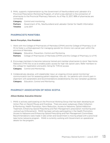3. PANL supports implementation by the Government of Newfoundland and Labrador of a Provincial Prescription Monitoring Program, of which a key element is the connection of pharmacies to the Provincial Pharmacy Network. As of May 12, 2017, 98% of pharmacies are connected.

**Category** Control and monitoring

**Partners** Government of NL, Newfoundland and Labrador Center for Health Information Timeline June 2017

# PHARMACISTS MANITOBA

#### Barret Procyshyn, Vice-President

1. Work with the College of Pharmacists of Manitoba (CPhM) and the College of Pharmacy (U of M) to foster a unified approach for managing opioids for chronic non-cancer pain within the province of Manitoba.

**Category** Education, Prevention, Control and Monitoring Partners College of Pharmacists of Manitoba (CPhM) and the College of Pharmacy (U of M)

2. Encourage members to become naloxone trained and member pharmacies to stock Take Home Naloxone (THN) kits so as to enable public access for high risk opioid users. Refer members to the college for registration and public listing for THN kit access

**Category** Control and Monitoring

3. Collaboratively develop, with stakeholder input, an ongoing clinical opioid monitoring/ communication tool for assessing patient response, risks etc.. for patients with chronic pain in alignment with parameters and recommendations established by the new Canadian guidelines **Category** Education, Control and Monitoring

# PHARMACY ASSOCIATION OF NOVA SCOTIA

#### Allison Bodnar, Executive Director

1. PANS is actively participating on the Provincial Working Group that has been developing an Action Plan on Opioid Misuse and Overdose. There are seven subgroups (Data Collection & Monitoring, Health Promotion, Harm Reduction, Access to Naloxone, Opioid Addiction Treatment, Enhancing Opioid Prescribing and Pain Management: prescription monitoring and Justice/Law Enforcement). PANS has been actively participating in the Health Promotion, Access to Naloxone and Enhancing Opioid Prescribing and Pain Management Committees. Recommendations were made in late winter and Government is moving ahead with a provincial take home naloxone program. PANS is currently working with Government on operational details for the program.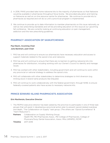- 2. In 2016, PANS provided take home naloxone kits to the majority of pharmacies so that Naloxone would be available in pharmacies throughout Nova Scotia. We provided education and training on Naloxone as well an on-line resource centre for pharmacies. We continue to provide kits to pharmacies as required and will do so until a provincial program is implemented.
- 3. We continue to provide up to date information to member pharmacists on this issue nationally, as well as new prescribing standards and will be providing education on this issue at our upcoming fall conference. We are currently looking at continuing education on pain management, addiction and the new prescribing guidelines.

# PHARMACY ASSOCIATION OF SASKATCHEWAN

#### Paul Bazin, Incoming Chair Julia Bareham, past-Chair

- 1. PAS has and will continue to ensure our pharmacists have necessary education and access to support materials related to the opioid crisis and naloxone.
- 2. PAS has and will continue to ensure that there are no barriers to getting naloxone kits into pharmacies for distribution, including working with our Owner's Council to identify and manage issues.
- 3. PAS has worked with other stakeholders, including government and will continue to work within any provincial or national strategy to address the opioid crisis.
- 4. PAS will collaborate with other stakeholders to determine strategies to limit diversion (e.g. limiting stock in brand name products like Dilaudid)
- 5. PAS will continue to work collaboratively with the federal government, through NIHB, to ensure federally-covered patients also have access to necessary naloxone kits.

# PRINCE EDWARD ISLAND PHARMACISTS ASSOCIATION

#### Erin MacKenzie, Executive Director

1. The PEIPhA executive director has been asked by the province to participate in one of three task groups that will assist in developing a provincial action plan to prevent opioid-related overdose and death, "The Collaboration on Supply" task group. (The others are "Opioid Surveillance" & "Harm Reduction").

Partners Collaboration on Supply Working Group: Health PEI, PEI Pharmacists Assoc., PEI College of Pharmacists, College of Physicans/Surg. Dental Association, Assoc. RNs (ARNPEI), RCMP Timeline 2017-2018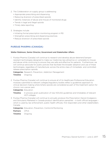- 2. The Collaboration on supply group is addressing:
	- Appropriate prescribing and dispensing
	- Reducing diversion of prescribed opioids
	- Identify instances of abuse and misuse of monitored drugs
	- Trends in legal and illegal opioids
	- Timely data reporting
- 3. Strategies include:
	- Initiating formal prescription monitoring program in PEI
	- Strengthen prescribing and dispensing practices
	- Reduce diversion of prescribed opioids

# PURDUE PHARMA (CANADA)

#### Walter Robinson, Senior Director, Government and Stakeholder Affairs

1. Purdue Pharma (Canada) will continue to research and develop abuse-deterrent/tamperresistant technologies designed to make our medicines less attractive or vulnerable to misuse and abuse while continuing to ensure they are safe and effective for patients. Furthermore, we will continue advocate for public policies that facilitate the broader adoption and use of these technologies, regardless of manufacturer, across the entire class of immediate- and controlledrelease prescription opioids.

**Categories** Research, Prevention, Addiction Management **Timeline** Ongoing

2. Purdue Pharma (Canada) will continue to ensure all of its Healthcare Professional Education modules submitted to relevant colleges/regulatory bodies reflect a guidelines approach to clinical decision-making when/where opioids are considered as part of the treatment option for chronic non-cancer pain.

Categories Education

- **Timeline** In process given publication of new NOUGG guidelines and timetables of relevant HCP colleges.
- 3. Purdue Pharma (Canada) will continue to annually produce the Prescription Opioid Analgesics and Stimulants Marketed in Canada product identification pamphlet – in both official languages – which is used by law enforcement, public health officials, first responders and other stakeholders Canada.

**Categories** Education, Prevention, Control & Monitoring

Partners CPhA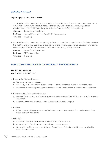# SANDOZ CANADA

#### Angela Nguyen, Scientific Director

1. Sandoz Canada is committed to the manufacturing of high-quality, safe, and effective products which fully comply with rigorous international quality and ethical standards, regulatory requirements, and Health Canada approved uses. Patients' safety is our priority.

|                         | <b>Category</b> Control and Monitoring                            |
|-------------------------|-------------------------------------------------------------------|
|                         | <b>Partners</b> Federal-Provincial-Territorial (FPT) stakeholders |
| <b>Timeline</b> Ongoing |                                                                   |

2. Sandoz Canada is committed to working in close collaboration with relevant authorities to ensure the healthy and proper use of synthetic opioid drugs, the availability of an appropriate antidote, and to support best evidence-based practices in addressing the opioid crisis.

Category Control and Monitoring

Partners FPT stakeholders

Timeline Ongoing

# SASKATCHEWAN COLLEGE OF PHARMACY PROFESSIONALS

#### Ray Joubert, Registrar Justin Kosar, President Elect

- 1. Prescription Review Program.
	- a. We are a partner organization
	- b. Recent bylaws authorize an expanded role. Not implemented due to limited resources
	- c. Interested in exploring strategies to enhance PRP's effectiveness in addressing the problem
- 2. Pharmaceutical Information Program
	- a. Involved in pharmacy practice management system integration. 100% of pharmacies are now integrated
	- b. Dedicate resources to the PIP Data Quality Improvement Program
- 3. Rx Files
	- a. When opportunities arise, promote their resources to pharmacists (e.g. Fentanyl patch to patch protocol and forms)
- 4. Naloxone
	- a. Have authority to schedule conditions of sale from pharmacies
	- b. Can work with the Ministry on strategies to increase access
	- c. Work with the Pharmacy Association of Saskatchewan's lead on initiatives on availability through pharmacies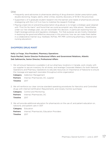#### **Other**

- Frequently send advisories to pharmacies alerting of drug diversion (stolen prescription pads, double doctoring, forgery alerts, other crimes, recently discovery of W-18 in the province)
- Supported U of S graduate student research into the barriers and needs of pharmacists and are strategizing with the U of S on how to mobilize the research findings
- Playing a lead role on preventing prescription drug abuse is no longer a strategic goal (aligned with "First Do No Harm" and found that we could accomplish very little alone). Nevertheless under our new strategic plan, we can reconsider this decision, in particular exploring how we might leverage policies and regulatory strategies. For that purpose we are mostly interested in exploring the good and effective resources in this province, how we can make them better in a collaborative manner (e.g. medSask, RxFiles, PIP, PRP, continuing pharmacy, medical and nursing education)

### SHOPPERS DRUG MART

# Kelly Le Forge, Vice President, Pharmacy Operations Paula MacNeil, Senior Director Professional Affairs and Governmnet Relations, Atlantic Deb Saltmarche, Senior Director, Professional Affairs

- 1. We will ensure Naloxone is available in all our pharmacy locations in Canada, work closely with our supplier to secure inventory for all stores, and leverage Corporate Webex's for both National Operations and Pharmacy Operations to educate resources on importance of Naloxone to ensure the message and approach resonates throughout entire organization
	- **Category** Addiction Management Partners Internal, Pharmacists, DC, supplier Timeline 2017
- 2. We will reinforce our clear concise standard operating procedures for Narcotics and Controlled drugs with internal Certification Requirements, and closely monitor purchases

|                        | <b>Category</b> Control and Monitoring    |
|------------------------|-------------------------------------------|
|                        | <b>Partners</b> Internal. Pharmacists. DC |
| <b>Timeline</b> $2017$ |                                           |

3. We will provide additional education for pharmacists on the use of, and patient education on, naloxone, and patient care in ODT

**Category** Education

Partners Internal, Pharmacists, Education Providers

Timeline 2017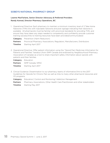# SOBEYS NATIONAL PHARMACY GROUP

#### Leanne MacFarlane, Senior Director Advocacy & Preferred Providers Randy Konrad, Director Pharmacy Operations, BC

1. Operational Directive: Each pharmacy to maintain a minimum inventory level of 2 Take Home Naloxone (THN) kits with injectable naloxone and post signage indicating that naloxone is available. All pharmacists must be familiar with provincial standards for providing THN, and ensure they have taken any steps needed to competently and confidently provide customer training (access/links to training resources have been provided/communicated)

Category Prevention (Harm Reduction) Partners Provincial Pharmacy Associations, Regulators, Manufacturers, Distributors **Timeline** Starting April 2017

2. Operational Directive: Offer patient information using the "Opioid Pain Medicines Information for Patients and Families" handout (from ISMP Canada and endorsed by Neighbourhood Pharmacy Association of Canada) as a tool to share important safety information about opioids with patients and their families.

Category Education Partners ISMP Canada, NPAC Timeline Starting April 2017

- 3. Clinical Guidance: Dissemination to our pharmacy teams of information/link to the 2017 Guidelines for Opioids for Chronic Pain as well as links to many other pharmacist resources and CE programs.
	- Category Education/ Control and Monitoring/ Addiction Management
	- Partners Pharmacy Associations, Other Health Care Practitioners and other stakeholders
	- **Timeline** Starting May 2017